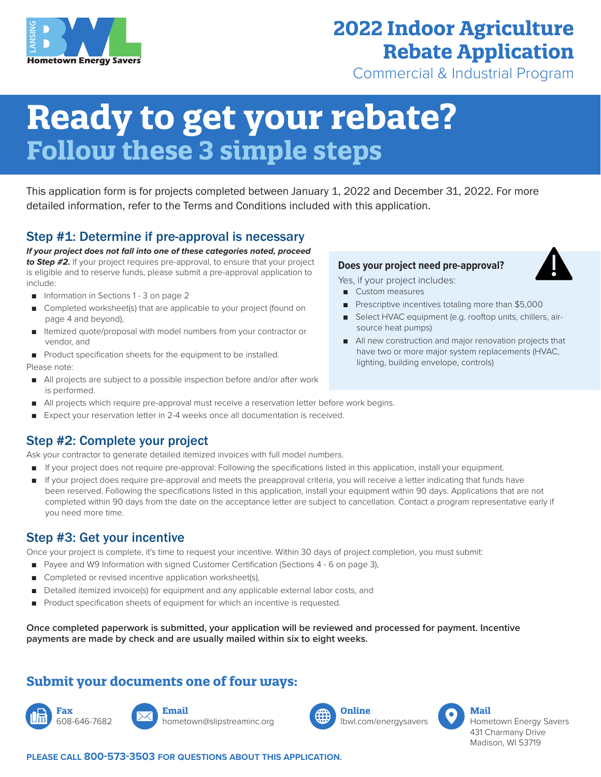

# **2022 Indoor Agriculture Rebate Application**

Commercial & Industrial Program

# **Ready to get your rebate? Follow these 3 simple steps**

This application form is for projects completed between January 1, 2022 and December 31, 2022. For more detailed information, refer to the Terms and Conditions included with this application.

### Step #1: Determine if pre-approval is necessary

*If your project does not fall into one of these categories noted, proceed to Step #2.* If your project requires pre-approval, to ensure that your project is eligible and to reserve funds, please submit a pre-approval application to include:

- Information in Sections 1 3 on page 2
- Completed worksheet(s) that are applicable to your project (found on page 4 and beyond),
- Itemized quote/proposal with model numbers from your contractor or vendor, and
- Product specification sheets for the equipment to be installed.

Please note:

- All projects are subject to a possible inspection before and/or after work is performed.
- All projects which require pre-approval must receive a reservation letter before work begins.
- Expect your reservation letter in 2-4 weeks once all documentation is received.

#### Step #2: Complete your project

Ask your contractor to generate detailed itemized invoices with full model numbers.

- If your project does not require pre-approval: Following the specifications listed in this application, install your equipment.
- If your project does require pre-approval and meets the preapproval criteria, you will receive a letter indicating that funds have been reserved. Following the specifications listed in this application, install your equipment within 90 days. Applications that are not completed within 90 days from the date on the acceptance letter are subject to cancellation. Contact a program representative early if you need more time.

#### Step #3: Get your incentive

Once your project is complete, it's time to request your incentive. Within 30 days of project completion, you must submit:

- Payee and W9 Information with signed Customer Certification (Sections 4 6 on page 3),
- Completed or revised incentive application worksheet(s),
- Detailed itemized invoice(s) for equipment and any applicable external labor costs, and
- Product specification sheets of equipment for which an incentive is requested.

**Once completed paperwork is submitted, your application will be reviewed and processed for payment. Incentive payments are made by check and are usually mailed within six to eight weeks.**

## **Submit your documents one of four ways:**

**Fax** 608-646-7682



hometown@slipstreaminc.org





**PLEASE CALL 800-573-3503 FOR QUESTIONS ABOUT THIS APPLICATION.**

#### **Does your project need pre-approval?**

Yes, if your project includes:

- Custom measures
- Prescriptive incentives totaling more than \$5,000
- Select HVAC equipment (e.g. rooftop units, chillers, airsource heat pumps)
- All new construction and major renovation projects that have two or more major system replacements (HVAC, lighting, building envelope, controls)

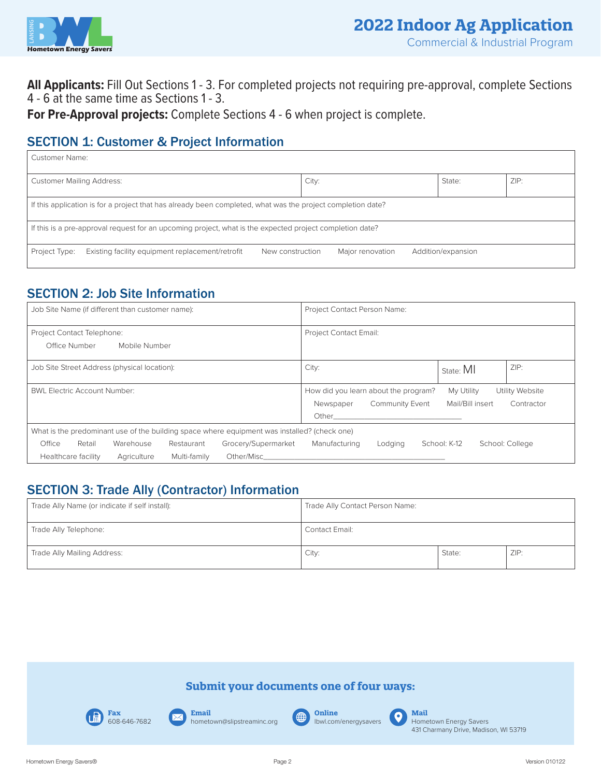

**All Applicants:** Fill Out Sections 1 - 3. For completed projects not requiring pre-approval, complete Sections 4 - 6 at the same time as Sections 1 - 3.

**For Pre-Approval projects:** Complete Sections 4 - 6 when project is complete.

## SECTION 1: Customer & Project Information

| Customer Name:                                                                                              |                                        |  |  |  |  |  |
|-------------------------------------------------------------------------------------------------------------|----------------------------------------|--|--|--|--|--|
| <b>Customer Mailing Address:</b>                                                                            | ZIP:<br>City:<br>State:                |  |  |  |  |  |
| If this application is for a project that has already been completed, what was the project completion date? |                                        |  |  |  |  |  |
| If this is a pre-approval request for an upcoming project, what is the expected project completion date?    |                                        |  |  |  |  |  |
| Existing facility equipment replacement/retrofit<br>Project Type:<br>New construction                       | Addition/expansion<br>Major renovation |  |  |  |  |  |

## SECTION 2: Job Site Information

| Job Site Name (if different than customer name):<br>Project Contact Person Name:             |                                                                       |  |  |  |
|----------------------------------------------------------------------------------------------|-----------------------------------------------------------------------|--|--|--|
| Project Contact Telephone:                                                                   | Project Contact Email:                                                |  |  |  |
| Office Number<br>Mobile Number                                                               |                                                                       |  |  |  |
| Job Site Street Address (physical location):                                                 | ZIP:<br>City:<br>State: MI                                            |  |  |  |
| <b>BWL Electric Account Number:</b>                                                          | How did you learn about the program?<br>My Utility<br>Utility Website |  |  |  |
|                                                                                              | Mail/Bill insert<br><b>Community Event</b><br>Newspaper<br>Contractor |  |  |  |
|                                                                                              | Other                                                                 |  |  |  |
| What is the predominant use of the building space where equipment was installed? (check one) |                                                                       |  |  |  |
| Retail<br>Grocery/Supermarket<br>Office<br>Warehouse<br>Restaurant                           | Manufacturing<br>School: K-12<br>School: College<br>Lodging           |  |  |  |
| Other/Misc<br>Healthcare facility<br>Multi-family<br>Agriculture                             |                                                                       |  |  |  |

## SECTION 3: Trade Ally (Contractor) Information

| Trade Ally Name (or indicate if self install): | Trade Ally Contact Person Name: |        |      |  |
|------------------------------------------------|---------------------------------|--------|------|--|
| Trade Ally Telephone:                          | Contact Email:                  |        |      |  |
| Trade Ally Mailing Address:                    | City:                           | State: | ZIP: |  |

#### **Submit your documents one of four ways:**





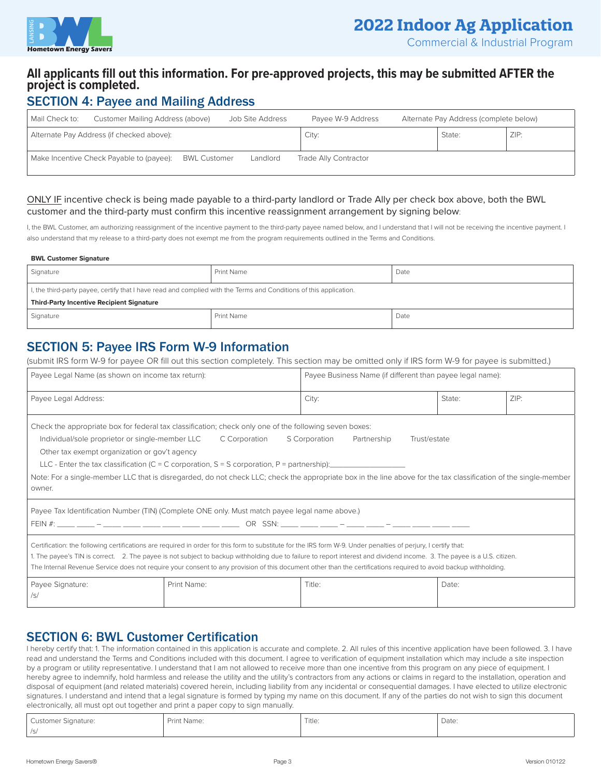

Commercial & Industrial Program

#### **All applicants fill out this information. For pre-approved projects, this may be submitted AFTER the project is completed.**

#### SECTION 4: Payee and Mailing Address

| Mail Check to: | Customer Mailing Address (above)          |                     | Job Site Address | Payee W-9 Address     | Alternate Pay Address (complete below) |      |
|----------------|-------------------------------------------|---------------------|------------------|-----------------------|----------------------------------------|------|
|                | Alternate Pay Address (if checked above): |                     |                  | City:                 | State:                                 | ZIP: |
|                | Make Incentive Check Payable to (payee):  | <b>BWL Customer</b> | Landlord         | Trade Ally Contractor |                                        |      |

#### ONLY IF incentive check is being made payable to a third-party landlord or Trade Ally per check box above, both the BWL customer and the third-party must confirm this incentive reassignment arrangement by signing below:

I, the BWL Customer, am authorizing reassignment of the incentive payment to the third-party payee named below, and I understand that I will not be receiving the incentive payment. I also understand that my release to a third-party does not exempt me from the program requirements outlined in the Terms and Conditions.

#### **BWL Customer Signature**

| Signature                                                                                                          | <b>Print Name</b> | Date |  |  |  |
|--------------------------------------------------------------------------------------------------------------------|-------------------|------|--|--|--|
| I, the third-party payee, certify that I have read and complied with the Terms and Conditions of this application. |                   |      |  |  |  |
| <b>Third-Party Incentive Recipient Signature</b>                                                                   |                   |      |  |  |  |
| Signature                                                                                                          | <b>Print Name</b> | Date |  |  |  |

#### SECTION 5: Payee IRS Form W-9 Information

(submit IRS form W-9 for payee OR fill out this section completely. This section may be omitted only if IRS form W-9 for payee is submitted.)

| Payee Legal Name (as shown on income tax return):                                                                                                                                                                                                                                                                                                                                                                                                                                                              |                                                                                                        | Payee Business Name (if different than payee legal name):                                                                                                        |        |      |  |
|----------------------------------------------------------------------------------------------------------------------------------------------------------------------------------------------------------------------------------------------------------------------------------------------------------------------------------------------------------------------------------------------------------------------------------------------------------------------------------------------------------------|--------------------------------------------------------------------------------------------------------|------------------------------------------------------------------------------------------------------------------------------------------------------------------|--------|------|--|
| Payee Legal Address:                                                                                                                                                                                                                                                                                                                                                                                                                                                                                           |                                                                                                        | City:                                                                                                                                                            | State: | ZIP: |  |
|                                                                                                                                                                                                                                                                                                                                                                                                                                                                                                                | Check the appropriate box for federal tax classification; check only one of the following seven boxes: |                                                                                                                                                                  |        |      |  |
| Individual/sole proprietor or single-member LLC<br>Other tax exempt organization or gov't agency                                                                                                                                                                                                                                                                                                                                                                                                               | C Corporation                                                                                          | S Corporation<br>Partnership<br>Trust/estate                                                                                                                     |        |      |  |
|                                                                                                                                                                                                                                                                                                                                                                                                                                                                                                                | LLC - Enter the tax classification (C = C corporation, S = S corporation, P = partnership):            |                                                                                                                                                                  |        |      |  |
| owner.                                                                                                                                                                                                                                                                                                                                                                                                                                                                                                         |                                                                                                        | Note: For a single-member LLC that is disregarded, do not check LLC; check the appropriate box in the line above for the tax classification of the single-member |        |      |  |
|                                                                                                                                                                                                                                                                                                                                                                                                                                                                                                                | Payee Tax Identification Number (TIN) (Complete ONE only. Must match payee legal name above.)          |                                                                                                                                                                  |        |      |  |
|                                                                                                                                                                                                                                                                                                                                                                                                                                                                                                                |                                                                                                        |                                                                                                                                                                  |        |      |  |
| Certification: the following certifications are required in order for this form to substitute for the IRS form W-9. Under penalties of perjury, I certify that:<br>1. The payee's TIN is correct. 2. The payee is not subject to backup withholding due to failure to report interest and dividend income. 3. The payee is a U.S. citizen.<br>The Internal Revenue Service does not require your consent to any provision of this document other than the certifications required to avoid backup withholding. |                                                                                                        |                                                                                                                                                                  |        |      |  |
| Payee Signature:<br>/s/                                                                                                                                                                                                                                                                                                                                                                                                                                                                                        | Print Name:                                                                                            | Title:                                                                                                                                                           | Date:  |      |  |

#### SECTION 6: BWL Customer Certification

I hereby certify that: 1. The information contained in this application is accurate and complete. 2. All rules of this incentive application have been followed. 3. I have read and understand the Terms and Conditions included with this document. I agree to verification of equipment installation which may include a site inspection by a program or utility representative. I understand that I am not allowed to receive more than one incentive from this program on any piece of equipment. I hereby agree to indemnify, hold harmless and release the utility and the utility's contractors from any actions or claims in regard to the installation, operation and disposal of equipment (and related materials) covered herein, including liability from any incidental or consequential damages. I have elected to utilize electronic signatures. I understand and intend that a legal signature is formed by typing my name on this document. If any of the parties do not wish to sign this document electronically, all must opt out together and print a paper copy to sign manually.

| Customer Signature: | Print Name: | Title: | Date: |
|---------------------|-------------|--------|-------|
| /S                  |             |        |       |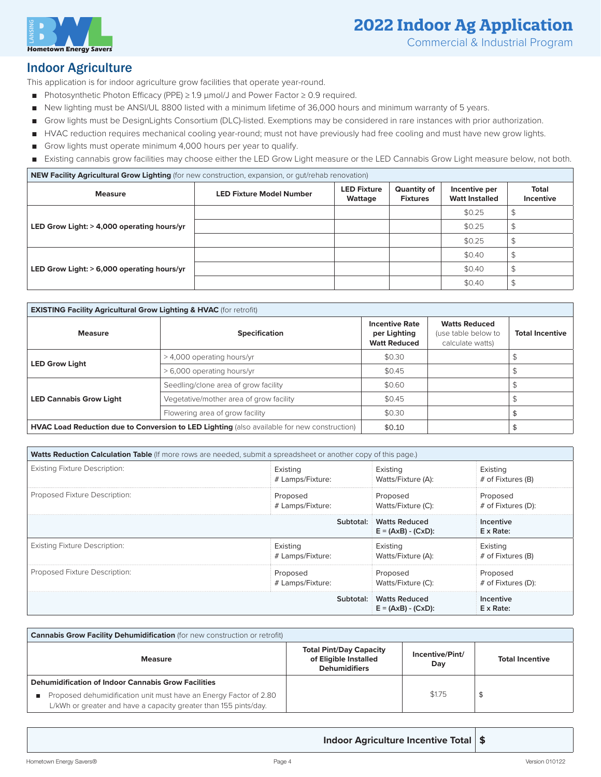

## **2022 Indoor Ag Application**

Commercial & Industrial Program

#### Indoor Agriculture

This application is for indoor agriculture grow facilities that operate year-round.

- Photosynthetic Photon Efficacy (PPE) ≥ 1.9 μmol/J and Power Factor ≥ 0.9 required.
- New lighting must be ANSI/UL 8800 listed with a minimum lifetime of 36,000 hours and minimum warranty of 5 years.
- Grow lights must be DesignLights Consortium (DLC)-listed. Exemptions may be considered in rare instances with prior authorization.
- HVAC reduction requires mechanical cooling year-round; must not have previously had free cooling and must have new grow lights.
- Grow lights must operate minimum 4,000 hours per year to qualify.
- Existing cannabis grow facilities may choose either the LED Grow Light measure or the LED Cannabis Grow Light measure below, not both.

**NEW Facility Agricultural Grow Lighting** (for new construction, expansion, or gut/rehab renovation)

| <b>Measure</b>                             | <b>LED Fixture Model Number</b> | <b>LED Fixture</b><br>Wattage | Quantity of<br><b>Fixtures</b> | Incentive per<br><b>Watt Installed</b> | Total<br>Incentive |
|--------------------------------------------|---------------------------------|-------------------------------|--------------------------------|----------------------------------------|--------------------|
|                                            |                                 |                               |                                | \$0.25                                 |                    |
| LED Grow Light: > 4,000 operating hours/yr |                                 |                               |                                | \$0.25                                 |                    |
|                                            |                                 |                               |                                | \$0.25                                 |                    |
| LED Grow Light: > 6,000 operating hours/yr |                                 |                               |                                | \$0.40                                 |                    |
|                                            |                                 |                               |                                | \$0.40                                 |                    |
|                                            |                                 |                               |                                | \$0.40                                 |                    |

| <b>EXISTING Facility Agricultural Grow Lighting &amp; HVAC</b> (for retrofit) |                                                                                             |                                                              |                                                                 |                        |  |
|-------------------------------------------------------------------------------|---------------------------------------------------------------------------------------------|--------------------------------------------------------------|-----------------------------------------------------------------|------------------------|--|
| <b>Measure</b>                                                                | <b>Specification</b>                                                                        | <b>Incentive Rate</b><br>per Lighting<br><b>Watt Reduced</b> | <b>Watts Reduced</b><br>(use table below to<br>calculate watts) | <b>Total Incentive</b> |  |
|                                                                               | > 4,000 operating hours/yr                                                                  | \$0.30                                                       |                                                                 |                        |  |
| <b>LED Grow Light</b>                                                         | > 6,000 operating hours/yr                                                                  | \$0.45                                                       |                                                                 |                        |  |
|                                                                               | Seedling/clone area of grow facility                                                        | \$0.60                                                       |                                                                 |                        |  |
| <b>LED Cannabis Grow Light</b>                                                | Vegetative/mother area of grow facility                                                     | \$0.45                                                       |                                                                 |                        |  |
|                                                                               | Flowering area of grow facility                                                             | \$0.30                                                       |                                                                 |                        |  |
|                                                                               | HVAC Load Reduction due to Conversion to LED Lighting (also available for new construction) | \$0.10                                                       |                                                                 |                        |  |

| Watts Reduction Calculation Table (If more rows are needed, submit a spreadsheet or another copy of this page.) |                                               |                                |                                |  |
|-----------------------------------------------------------------------------------------------------------------|-----------------------------------------------|--------------------------------|--------------------------------|--|
| <b>Existing Fixture Description:</b>                                                                            | Existing<br># Lamps/Fixture:                  | Existing<br>Watts/Fixture (A): | Existing<br># of Fixtures (B)  |  |
| Proposed Fixture Description:<br>Proposed<br># Lamps/Fixture:                                                   |                                               | Proposed<br>Watts/Fixture (C): | Proposed<br># of Fixtures (D): |  |
|                                                                                                                 | <b>Watts Reduced</b><br>$E = (AxB) - (CxD)$ : | Incentive<br>$E \times Rate$ : |                                |  |
| <b>Existing Fixture Description:</b>                                                                            | Existing<br># Lamps/Fixture:                  | Existing<br>Watts/Fixture (A): | Existing<br># of Fixtures (B)  |  |
| Proposed Fixture Description:                                                                                   | Proposed<br># Lamps/Fixture:                  | Proposed<br>Watts/Fixture (C): | Proposed<br># of Fixtures (D): |  |
|                                                                                                                 | <b>Watts Reduced</b><br>$E = (AxB) - (CxD)$ : | Incentive<br>$E \times Rate$ : |                                |  |

| <b>Cannabis Grow Facility Dehumidification</b> (for new construction or retrofit)                                                     |                                                                                 |                        |                        |  |  |
|---------------------------------------------------------------------------------------------------------------------------------------|---------------------------------------------------------------------------------|------------------------|------------------------|--|--|
| <b>Measure</b>                                                                                                                        | <b>Total Pint/Day Capacity</b><br>of Eligible Installed<br><b>Dehumidifiers</b> | Incentive/Pint/<br>Day | <b>Total Incentive</b> |  |  |
| <b>Dehumidification of Indoor Cannabis Grow Facilities</b>                                                                            |                                                                                 |                        |                        |  |  |
| Proposed dehumidification unit must have an Energy Factor of 2.80<br>L/kWh or greater and have a capacity greater than 155 pints/day. |                                                                                 | \$1.75                 |                        |  |  |

**Indoor Agriculture Incentive Total \$**